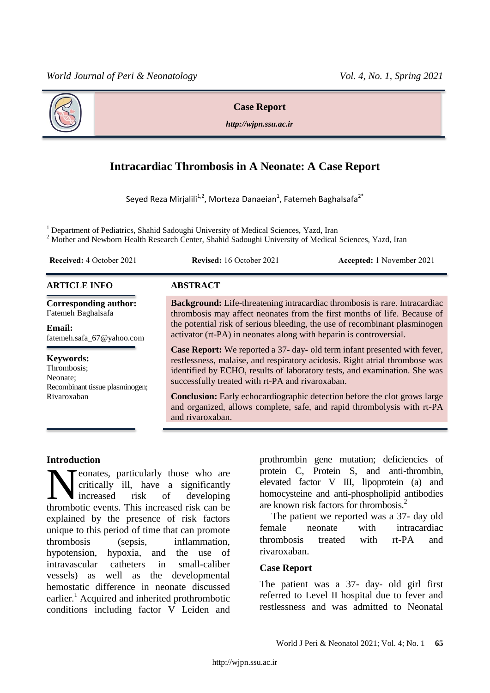



**Case Report**

*http://wjpn.ssu.ac.ir*

# **Intracardiac Thrombosis in A Neonate: A Case Report**

Seyed Reza Mirjalili<sup>1,2</sup>, Morteza Danaeian<sup>1</sup>, Fatemeh Baghalsafa<sup>2\*</sup>

<sup>1</sup> Department of Pediatrics, Shahid Sadoughi University of Medical Sciences, Yazd, Iran

<sup>2</sup> Mother and Newborn Health Research Center, Shahid Sadoughi University of Medical Sciences, Yazd, Iran

**Received:** 4 October 2021 **Revised:** 16 October 2021 **Accepted:** 1 November 2021

# **ARTICLE INFO ABSTRACT**

**Corresponding author:** Fatemeh Baghalsafa

**Email:**  fatemeh.safa\_67@yahoo.com

#### **Keywords:**

Thrombosis; Neonate; Recombinant tissue plasminogen; Rivaroxaban

**Background:** Life-threatening intracardiac thrombosis is rare. Intracardiac thrombosis may affect neonates from the first months of life. Because of the potential risk of serious bleeding, the use of recombinant plasminogen activator (rt-PA) in neonates along with heparin is controversial.

**Case Report:** We reported a 37- day- old term infant presented with fever, restlessness, malaise, and respiratory acidosis. Right atrial thrombose was identified by ECHO, results of laboratory tests, and examination. She was successfully treated with rt-PA and rivaroxaban.

**Conclusion:** Early echocardiographic detection before the clot grows large and organized, allows complete, safe, and rapid thrombolysis with rt-PA and rivaroxaban.

# **Introduction**

eonates, particularly those who are critically ill, have a significantly increased risk of developing **there** is a significantly those who are critically ill, have a significantly increased risk of developing thrombotic events. This increased risk can be explained by the presence of risk factors unique to this period of time that can promote thrombosis (sepsis, inflammation, hypotension, hypoxia, and the use of intravascular catheters in small-caliber vessels) as well as the developmental hemostatic difference in neonate discussed earlier.<sup>1</sup> Acquired and inherited prothrombotic conditions including factor V Leiden and

prothrombin gene mutation; deficiencies of protein C, Protein S, and anti-thrombin, elevated factor V III, lipoprotein (a) and homocysteine and anti-phospholipid antibodies are known risk factors for thrombosis.<sup>2</sup>

The patient we reported was a 37- day old female neonate with intracardiac thrombosis treated with rt-PA and rivaroxaban.

# **Case Report**

The patient was a 37- day- old girl first referred to Level II hospital due to fever and restlessness and was admitted to Neonatal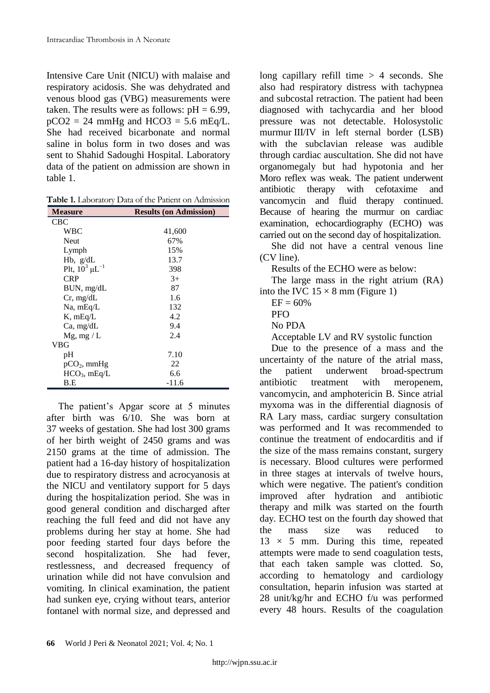Intensive Care Unit (NICU) with malaise and respiratory acidosis. She was dehydrated and venous blood gas (VBG) measurements were taken. The results were as follows:  $pH = 6.99$ ,  $pCO2 = 24$  mmHg and HCO3 = 5.6 mEq/L. She had received bicarbonate and normal saline in bolus form in two doses and was sent to Shahid Sadoughi Hospital. Laboratory data of the patient on admission are shown in table 1.

**Table 1.** Laboratory Data of the Patient on Admission

| <b>Measure</b>         | <b>Results (on Admission)</b> |
|------------------------|-------------------------------|
| <b>CBC</b>             |                               |
| <b>WBC</b>             | 41,600                        |
| <b>Neut</b>            | 67%                           |
| Lymph                  | 15%                           |
| $Hb$ , $g/dL$          | 13.7                          |
| Plt, $10^3 \mu L^{-1}$ | 398                           |
| <b>CRP</b>             | $3+$                          |
| BUN, mg/dL             | 87                            |
| Cr, mg/dL              | 1.6                           |
| $Na$ , mEq/L           | 132                           |
| $K$ , mEq/L            | 4.2                           |
| Ca, mg/dL              | 9.4                           |
| $Mg$ , mg / L          | 2.4                           |
| VBG                    |                               |
| pH                     | 7.10                          |
| $pCO2$ , mmHg          | 22                            |
| $HCO3$ , mEq/L         | 6.6                           |
| B.E                    | $-11.6$                       |

The patient's Apgar score at 5 minutes after birth was 6/10. She was born at 37 weeks of gestation. She had lost 300 grams of her birth weight of 2450 grams and was 2150 grams at the time of admission. The patient had a 16-day history of hospitalization due to respiratory distress and acrocyanosis at the NICU and ventilatory support for 5 days during the hospitalization period. She was in good general condition and discharged after reaching the full feed and did not have any problems during her stay at home. She had poor feeding started four days before the second hospitalization. She had fever, restlessness, and decreased frequency of urination while did not have convulsion and vomiting. In clinical examination, the patient had sunken eye, crying without tears, anterior fontanel with normal size, and depressed and

long capillary refill time  $> 4$  seconds. She also had respiratory distress with tachypnea and subcostal retraction. The patient had been diagnosed with tachycardia and her blood pressure was not detectable. Holosystolic murmur III/IV in left sternal border (LSB) with the subclavian release was audible through cardiac auscultation. She did not have organomegaly but had hypotonia and her Moro reflex was weak. The patient underwent antibiotic therapy with cefotaxime and vancomycin and fluid therapy continued. Because of hearing the murmur on cardiac examination, echocardiography (ECHO) was carried out on the second day of hospitalization.

She did not have a central venous line (CV line).

Results of the ECHO were as below:

The large mass in the right atrium (RA) into the IVC  $15 \times 8$  mm (Figure 1)

 $EF = 60%$ 

**PFO** 

No PDA

Acceptable LV and RV systolic function

Due to the presence of a mass and the uncertainty of the nature of the atrial mass, the patient underwent broad-spectrum antibiotic treatment with meropenem, vancomycin, and amphotericin B. Since atrial myxoma was in the differential diagnosis of RA Lary mass, cardiac surgery consultation was performed and It was recommended to continue the treatment of endocarditis and if the size of the mass remains constant, surgery is necessary. Blood cultures were performed in three stages at intervals of twelve hours, which were negative. The patient's condition improved after hydration and antibiotic therapy and milk was started on the fourth day. ECHO test on the fourth day showed that the mass size was reduced to  $13 \times 5$  mm. During this time, repeated attempts were made to send coagulation tests, that each taken sample was clotted. So, according to hematology and cardiology consultation, heparin infusion was started at 28 unit/kg/hr and ECHO f/u was performed every 48 hours. Results of the coagulation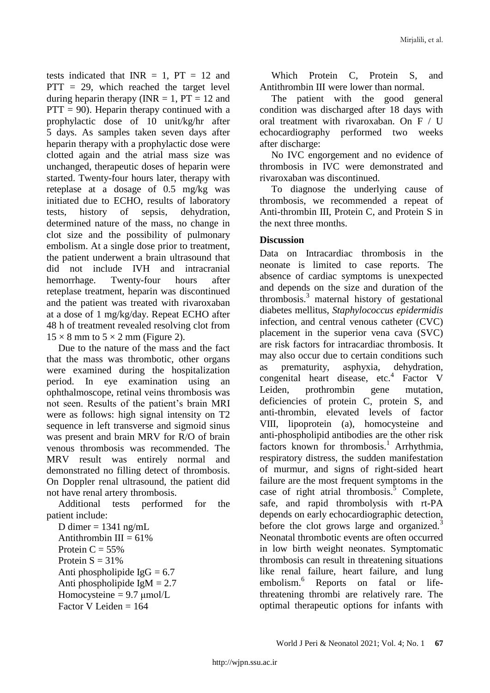tests indicated that  $INR = 1$ ,  $PT = 12$  and  $PTT = 29$ , which reached the target level during heparin therapy (INR  $= 1$ , PT  $= 12$  and  $PTT = 90$ . Heparin therapy continued with a prophylactic dose of 10 unit/kg/hr after 5 days. As samples taken seven days after heparin therapy with a prophylactic dose were clotted again and the atrial mass size was unchanged, therapeutic doses of heparin were started. Twenty-four hours later, therapy with reteplase at a dosage of 0.5 mg/kg was initiated due to ECHO, results of laboratory tests, history of sepsis, dehydration, determined nature of the mass, no change in clot size and the possibility of pulmonary embolism. At a single dose prior to treatment, the patient underwent a brain ultrasound that did not include IVH and intracranial hemorrhage. Twenty-four hours after reteplase treatment, heparin was discontinued and the patient was treated with rivaroxaban at a dose of 1 mg/kg/day. Repeat ECHO after 48 h of treatment revealed resolving clot from  $15 \times 8$  mm to  $5 \times 2$  mm (Figure 2).

Due to the nature of the mass and the fact that the mass was thrombotic, other organs were examined during the hospitalization period. In eye examination using an ophthalmoscope, retinal veins thrombosis was not seen. Results of the patient's brain MRI were as follows: high signal intensity on T2 sequence in left transverse and sigmoid sinus was present and brain MRV for R/O of brain venous thrombosis was recommended. The MRV result was entirely normal and demonstrated no filling detect of thrombosis. On Doppler renal ultrasound, the patient did not have renal artery thrombosis.

Additional tests performed for the patient include:

D dimer  $= 1341$  ng/mL Antithrombin III =  $61\%$ Protein  $C = 55%$ Protein  $S = 31\%$ Anti phospholipide  $IgG = 6.7$ Anti phospholipide IgM  $= 2.7$ Homocysteine  $= 9.7 \mu$ mol/L Factor V Leiden  $= 164$ 

Which Protein C, Protein S, and Antithrombin III were lower than normal.

The patient with the good general condition was discharged after 18 days with oral treatment with rivaroxaban. On F / U echocardiography performed two weeks after discharge:

No IVC engorgement and no evidence of thrombosis in IVC were demonstrated and rivaroxaban was discontinued.

To diagnose the underlying cause of thrombosis, we recommended a repeat of Anti-thrombin III, Protein C, and Protein S in the next three months.

# **Discussion**

Data on Intracardiac thrombosis in the neonate is limited to case reports. The absence of cardiac symptoms is unexpected and depends on the size and duration of the thrombosis. $3 \text{ maternal history}$  of gestational diabetes mellitus, *Staphylococcus epidermidis* infection, and central venous catheter (CVC) placement in the superior vena cava (SVC) are risk factors for intracardiac thrombosis. It may also occur due to certain conditions such as prematurity, asphyxia, dehydration, congenital heart disease, etc.<sup>4</sup> Factor V Leiden, prothrombin gene mutation, deficiencies of protein C, protein S, and anti-thrombin, elevated levels of factor VIII, lipoprotein (a), homocysteine and anti-phospholipid antibodies are the other risk factors known for thrombosis.<sup>1</sup> Arrhythmia, respiratory distress, the sudden manifestation of murmur, and signs of right-sided heart failure are the most frequent symptoms in the case of right atrial thrombosis. $5$  Complete, safe, and rapid thrombolysis with rt-PA depends on early echocardiographic detection, before the clot grows large and organized.<sup>3</sup> Neonatal thrombotic events are often occurred in low birth weight neonates. Symptomatic thrombosis can result in threatening situations like renal failure, heart failure, and lung embolism.<sup>6</sup> Reports on fatal or lifethreatening thrombi are relatively rare. The optimal therapeutic options for infants with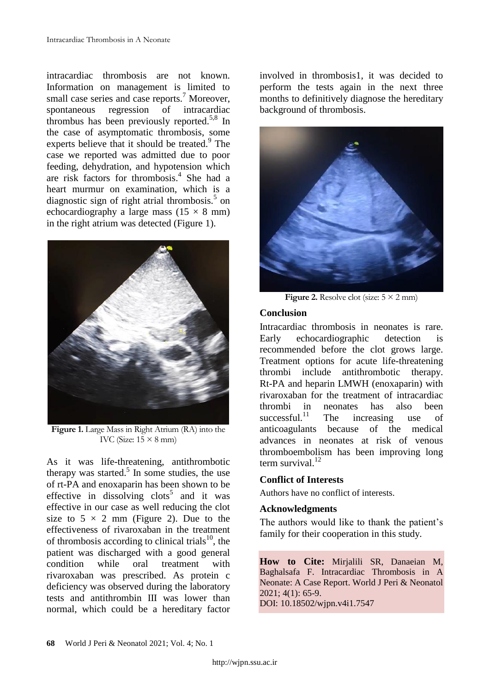intracardiac thrombosis are not known. Information on management is limited to small case series and case reports.<sup>7</sup> Moreover, spontaneous regression of intracardiac thrombus has been previously reported.<sup>5,8</sup> In the case of asymptomatic thrombosis, some experts believe that it should be treated.<sup>9</sup> The case we reported was admitted due to poor feeding, dehydration, and hypotension which are risk factors for thrombosis.<sup>4</sup> She had a heart murmur on examination, which is a diagnostic sign of right atrial thrombosis.<sup>5</sup> on echocardiography a large mass  $(15 \times 8 \text{ mm})$ in the right atrium was detected (Figure 1).



**Figure 1.** Large Mass in Right Atrium (RA) into the IVC (Size:  $15 \times 8$  mm)

As it was life-threatening, antithrombotic therapy was started.<sup>5</sup> In some studies, the use of rt-PA and enoxaparin has been shown to be effective in dissolving clots<sup>5</sup> and it was effective in our case as well reducing the clot size to  $5 \times 2$  mm (Figure 2). Due to the effectiveness of rivaroxaban in the treatment of thrombosis according to clinical trials<sup>10</sup>, the patient was discharged with a good general condition while oral treatment with rivaroxaban was prescribed. As protein c deficiency was observed during the laboratory tests and antithrombin III was lower than normal, which could be a hereditary factor

involved in thrombosis1, it was decided to perform the tests again in the next three months to definitively diagnose the hereditary background of thrombosis.



**Figure 2.** Resolve clot (size:  $5 \times 2$  mm)

# **Conclusion**

Intracardiac thrombosis in neonates is rare. Early echocardiographic detection is recommended before the clot grows large. Treatment options for acute life-threatening thrombi include antithrombotic therapy. Rt-PA and heparin LMWH (enoxaparin) with rivaroxaban for the treatment of intracardiac thrombi in neonates has also been successful.<sup>11</sup> The increasing use of anticoagulants because of the medical advances in neonates at risk of venous thromboembolism has been improving long term survival  $12$ 

# **Conflict of Interests**

Authors have no conflict of interests.

# **Acknowledgments**

The authors would like to thank the patient's family for their cooperation in this study.

**How to Cite:** Mirjalili SR, Danaeian M, Baghalsafa F. Intracardiac Thrombosis in A Neonate: A Case Report. World J Peri & Neonatol 2021; 4(1): 65-9. DOI: 10.18502/wjpn.v4i1.7547